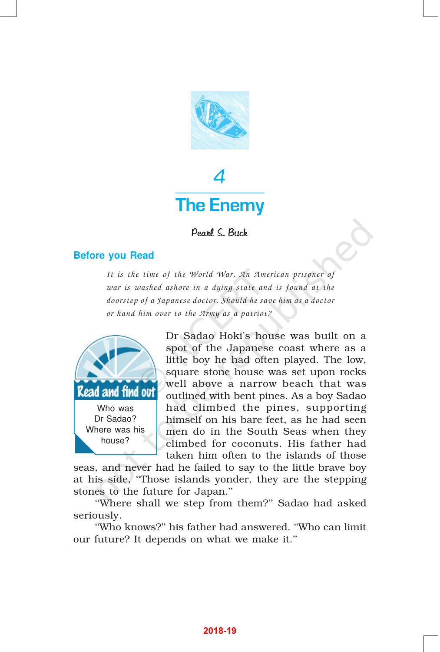

## 4 **The Enemy**

Pearl S. Buck

## **Before you Read**

*It is the time of the World War. An American prisoner of war is washed ashore in a dying state and is found at the doorstep of a Japanese doctor. Should he save him as a doctor or hand him over to the Army as a patriot?*



Dr Sadao Hoki's house was built on a spot of the Japanese coast where as a little boy he had often played. The low, square stone house was set upon rocks well above a narrow beach that was outlined with bent pines. As a boy Sadao had climbed the pines, supporting himself on his bare feet, as he had seen men do in the South Seas when they climbed for coconuts. His father had taken him often to the islands of those

seas, and never had he failed to say to the little brave boy at his side, ''Those islands yonder, they are the stepping stones to the future for Japan.''

''Where shall we step from them?'' Sadao had asked seriously.

''Who knows?'' his father had answered. ''Who can limit our future? It depends on what we make it.''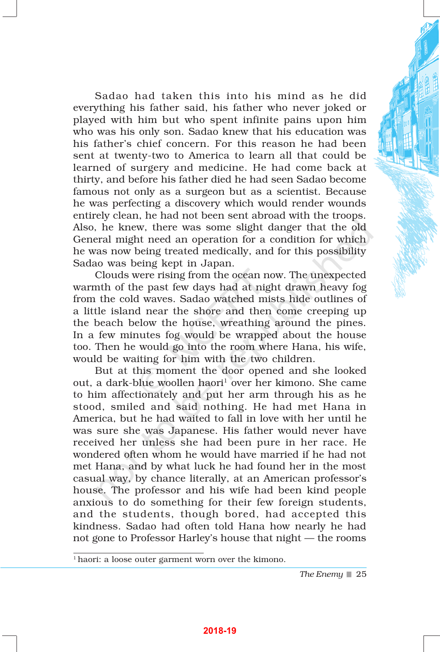Sadao had taken this into his mind as he did everything his father said, his father who never joked or played with him but who spent infinite pains upon him who was his only son. Sadao knew that his education was his father's chief concern. For this reason he had been sent at twenty-two to America to learn all that could be learned of surgery and medicine. He had come back at thirty, and before his father died he had seen Sadao become famous not only as a surgeon but as a scientist. Because he was perfecting a discovery which would render wounds entirely clean, he had not been sent abroad with the troops. Also, he knew, there was some slight danger that the old General might need an operation for a condition for which he was now being treated medically, and for this possibility Sadao was being kept in Japan.

Clouds were rising from the ocean now. The unexpected warmth of the past few days had at night drawn heavy fog from the cold waves. Sadao watched mists hide outlines of a little island near the shore and then come creeping up the beach below the house, wreathing around the pines. In a few minutes fog would be wrapped about the house too. Then he would go into the room where Hana, his wife, would be waiting for him with the two children.

But at this moment the door opened and she looked out, a dark-blue woollen haori<sup>1</sup> over her kimono. She came to him affectionately and put her arm through his as he stood, smiled and said nothing. He had met Hana in America, but he had waited to fall in love with her until he was sure she was Japanese. His father would never have received her unless she had been pure in her race. He wondered often whom he would have married if he had not met Hana, and by what luck he had found her in the most casual way, by chance literally, at an American professor's house. The professor and his wife had been kind people anxious to do something for their few foreign students, and the students, though bored, had accepted this kindness. Sadao had often told Hana how nearly he had not gone to Professor Harley's house that night — the rooms

<sup>1</sup> haori: a loose outer garment worn over the kimono.

*The Enemy* 25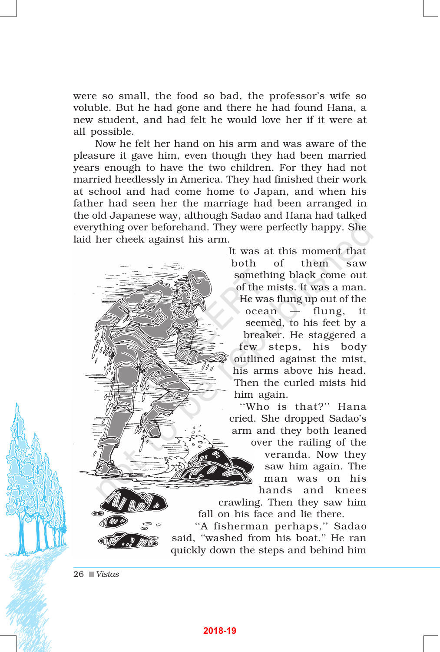were so small, the food so bad, the professor's wife so voluble. But he had gone and there he had found Hana, a new student, and had felt he would love her if it were at all possible.

Now he felt her hand on his arm and was aware of the pleasure it gave him, even though they had been married years enough to have the two children. For they had not married heedlessly in America. They had finished their work at school and had come home to Japan, and when his father had seen her the marriage had been arranged in the old Japanese way, although Sadao and Hana had talked everything over beforehand. They were perfectly happy. She laid her cheek against his arm.

> It was at this moment that both of them saw something black come out of the mists. It was a man. He was flung up out of the  $ocean$  — flung, it seemed, to his feet by a breaker. He staggered a few steps, his body outlined against the mist, his arms above his head. Then the curled mists hid him again.

> ''Who is that?'' Hana cried. She dropped Sadao's arm and they both leaned over the railing of the veranda. Now they saw him again. The man was on his hands and knees

crawling. Then they saw him fall on his face and lie there.

''A fisherman perhaps,'' Sadao said, ''washed from his boat.'' He ran quickly down the steps and behind him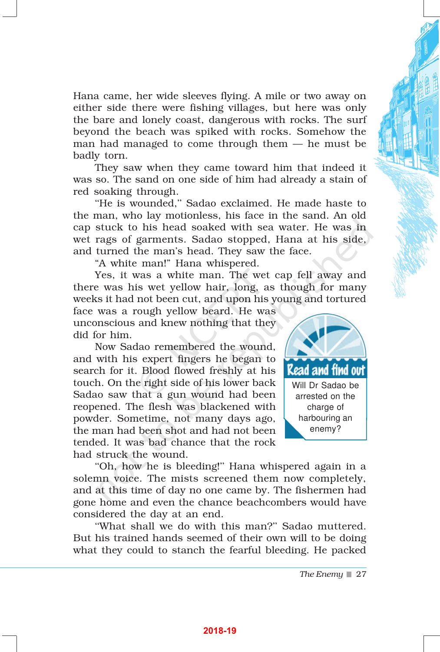Hana came, her wide sleeves flying. A mile or two away on either side there were fishing villages, but here was only the bare and lonely coast, dangerous with rocks. The surf beyond the beach was spiked with rocks. Somehow the man had managed to come through them — he must be badly torn.

They saw when they came toward him that indeed it was so. The sand on one side of him had already a stain of red soaking through.

''He is wounded,'' Sadao exclaimed. He made haste to the man, who lay motionless, his face in the sand. An old cap stuck to his head soaked with sea water. He was in wet rags of garments. Sadao stopped, Hana at his side, and turned the man's head. They saw the face.

"A white man!" Hana whispered.

Yes, it was a white man. The wet cap fell away and there was his wet yellow hair, long, as though for many weeks it had not been cut, and upon his young and tortured

face was a rough yellow beard. He was unconscious and knew nothing that they did for him.

Now Sadao remembered the wound, and with his expert fingers he began to search for it. Blood flowed freshly at his touch. On the right side of his lower back Sadao saw that a gun wound had been reopened. The flesh was blackened with powder. Sometime, not many days ago, the man had been shot and had not been tended. It was bad chance that the rock had struck the wound.



''Oh, how he is bleeding!'' Hana whispered again in a solemn voice. The mists screened them now completely, and at this time of day no one came by. The fishermen had gone home and even the chance beachcombers would have considered the day at an end.

''What shall we do with this man?'' Sadao muttered. But his trained hands seemed of their own will to be doing what they could to stanch the fearful bleeding. He packed

*The Enemy* ■ 27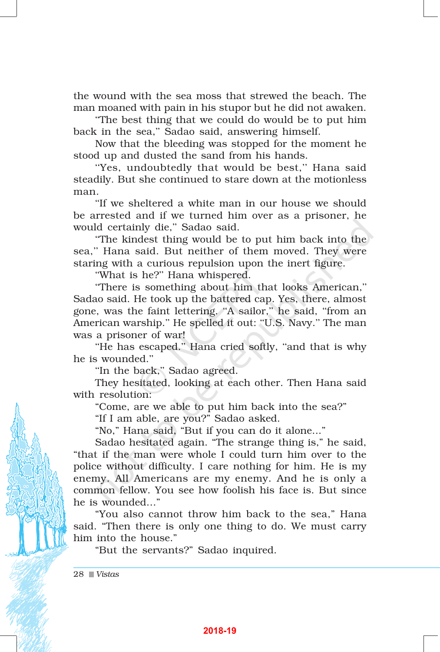the wound with the sea moss that strewed the beach. The man moaned with pain in his stupor but he did not awaken.

''The best thing that we could do would be to put him back in the sea,'' Sadao said, answering himself.

Now that the bleeding was stopped for the moment he stood up and dusted the sand from his hands.

''Yes, undoubtedly that would be best,'' Hana said steadily. But she continued to stare down at the motionless man.

''If we sheltered a white man in our house we should be arrested and if we turned him over as a prisoner, he would certainly die,'' Sadao said.

''The kindest thing would be to put him back into the sea,'' Hana said. But neither of them moved. They were staring with a curious repulsion upon the inert figure.

''What is he?'' Hana whispered.

''There is something about him that looks American,'' Sadao said. He took up the battered cap. Yes, there, almost gone, was the faint lettering. ''A sailor,'' he said, ''from an American warship.'' He spelled it out: ''U.S. Navy.'' The man was a prisoner of war!

"He has escaped." Hana cried softly, "and that is why he is wounded.''

''In the back,'' Sadao agreed.

They hesitated, looking at each other. Then Hana said with resolution:

"Come, are we able to put him back into the sea?"

"If I am able, are you?" Sadao asked.

"No," Hana said, "But if you can do it alone..."

Sadao hesitated again. "The strange thing is," he said, "that if the man were whole I could turn him over to the police without difficulty. I care nothing for him. He is my enemy. All Americans are my enemy. And he is only a common fellow. You see how foolish his face is. But since he is wounded…"

"You also cannot throw him back to the sea," Hana said. "Then there is only one thing to do. We must carry him into the house."

"But the servants?" Sadao inquired.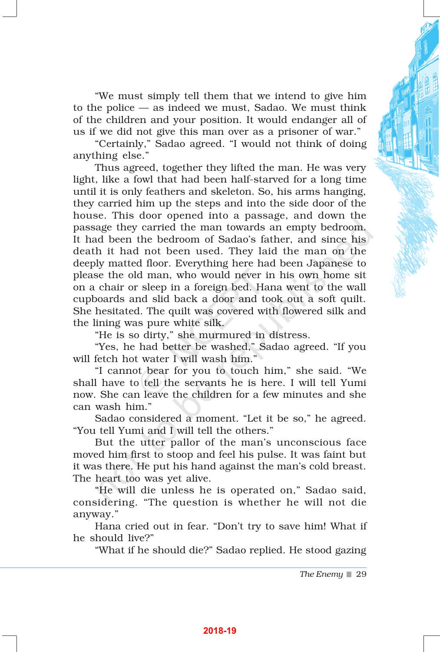"We must simply tell them that we intend to give him to the police — as indeed we must, Sadao. We must think of the children and your position. It would endanger all of us if we did not give this man over as a prisoner of war."

"Certainly," Sadao agreed. "I would not think of doing anything else."

Thus agreed, together they lifted the man. He was very light, like a fowl that had been half-starved for a long time until it is only feathers and skeleton. So, his arms hanging, they carried him up the steps and into the side door of the house. This door opened into a passage, and down the passage they carried the man towards an empty bedroom. It had been the bedroom of Sadao's father, and since his death it had not been used. They laid the man on the deeply matted floor. Everything here had been Japanese to please the old man, who would never in his own home sit on a chair or sleep in a foreign bed. Hana went to the wall cupboards and slid back a door and took out a soft quilt. She hesitated. The quilt was covered with flowered silk and the lining was pure white silk.

"He is so dirty," she murmured in distress.

"Yes, he had better be washed," Sadao agreed. "If you will fetch hot water I will wash him."

"I cannot bear for you to touch him," she said. "We shall have to tell the servants he is here. I will tell Yumi now. She can leave the children for a few minutes and she can wash him."

Sadao considered a moment. "Let it be so," he agreed. "You tell Yumi and I will tell the others."

But the utter pallor of the man's unconscious face moved him first to stoop and feel his pulse. It was faint but it was there. He put his hand against the man's cold breast. The heart too was yet alive.

"He will die unless he is operated on," Sadao said, considering. "The question is whether he will not die anyway."

Hana cried out in fear. "Don't try to save him! What if he should live?"

"What if he should die?" Sadao replied. He stood gazing

*The Enemy* ■ 29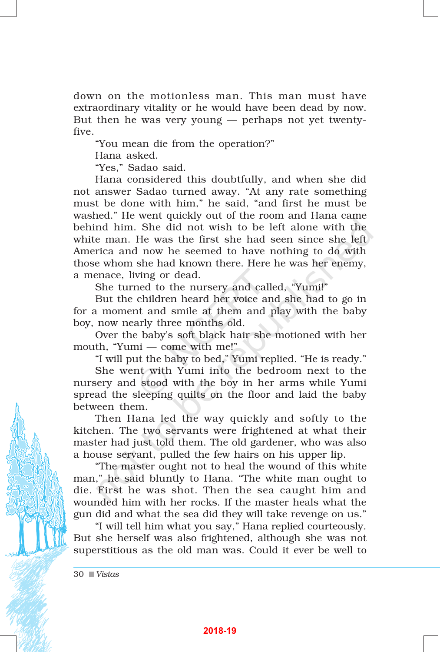down on the motionless man. This man must have extraordinary vitality or he would have been dead by now. But then he was very young  $-$  perhaps not yet twentyfive.

"You mean die from the operation?"

Hana asked.

"Yes," Sadao said.

Hana considered this doubtfully, and when she did not answer Sadao turned away. "At any rate something must be done with him," he said, "and first he must be washed." He went quickly out of the room and Hana came behind him. She did not wish to be left alone with the white man. He was the first she had seen since she left America and now he seemed to have nothing to do with those whom she had known there. Here he was her enemy, a menace, living or dead.

She turned to the nursery and called, "Yumi!"

But the children heard her voice and she had to go in for a moment and smile at them and play with the baby boy, now nearly three months old.

Over the baby's soft black hair she motioned with her mouth, "Yumi — come with me!"

"I will put the baby to bed," Yumi replied. "He is ready."

She went with Yumi into the bedroom next to the nursery and stood with the boy in her arms while Yumi spread the sleeping quilts on the floor and laid the baby between them.

Then Hana led the way quickly and softly to the kitchen. The two servants were frightened at what their master had just told them. The old gardener, who was also a house servant, pulled the few hairs on his upper lip.

"The master ought not to heal the wound of this white man," he said bluntly to Hana. "The white man ought to die. First he was shot. Then the sea caught him and wounded him with her rocks. If the master heals what the gun did and what the sea did they will take revenge on us."

"I will tell him what you say," Hana replied courteously. But she herself was also frightened, although she was not superstitious as the old man was. Could it ever be well to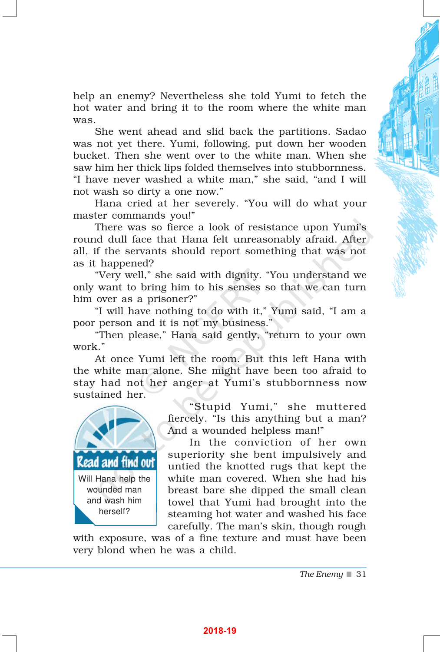help an enemy? Nevertheless she told Yumi to fetch the hot water and bring it to the room where the white man was.

She went ahead and slid back the partitions. Sadao was not yet there. Yumi, following, put down her wooden bucket. Then she went over to the white man. When she saw him her thick lips folded themselves into stubbornness. "I have never washed a white man," she said, "and I will not wash so dirty a one now."

Hana cried at her severely. "You will do what your master commands you!"

There was so fierce a look of resistance upon Yumi's round dull face that Hana felt unreasonably afraid. After all, if the servants should report something that was not as it happened?

"Very well," she said with dignity. "You understand we only want to bring him to his senses so that we can turn him over as a prisoner?"

"I will have nothing to do with it," Yumi said, "I am a poor person and it is not my business."

"Then please," Hana said gently, "return to your own work."

At once Yumi left the room. But this left Hana with the white man alone. She might have been too afraid to stay had not her anger at Yumi's stubbornness now sustained her.



"Stupid Yumi," she muttered fiercely. "Is this anything but a man? And a wounded helpless man!"

In the conviction of her own superiority she bent impulsively and untied the knotted rugs that kept the white man covered. When she had his breast bare she dipped the small clean towel that Yumi had brought into the steaming hot water and washed his face carefully. The man's skin, though rough

with exposure, was of a fine texture and must have been very blond when he was a child.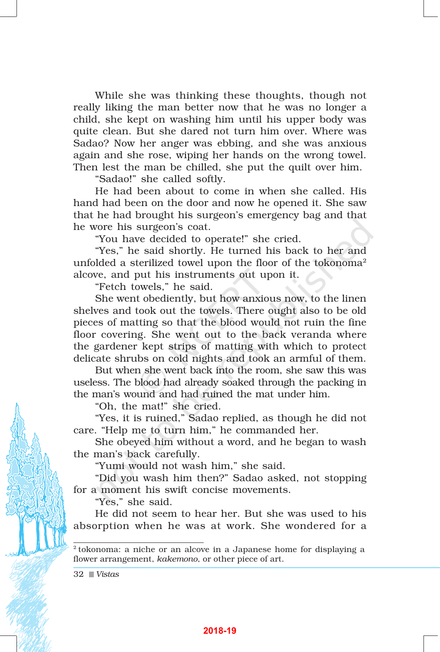While she was thinking these thoughts, though not really liking the man better now that he was no longer a child, she kept on washing him until his upper body was quite clean. But she dared not turn him over. Where was Sadao? Now her anger was ebbing, and she was anxious again and she rose, wiping her hands on the wrong towel. Then lest the man be chilled, she put the quilt over him.

"Sadao!" she called softly.

He had been about to come in when she called. His hand had been on the door and now he opened it. She saw that he had brought his surgeon's emergency bag and that he wore his surgeon's coat.

"You have decided to operate!" she cried.

"Yes," he said shortly. He turned his back to her and unfolded a sterilized towel upon the floor of the tokonoma<sup>2</sup> alcove, and put his instruments out upon it.

"Fetch towels," he said.

She went obediently, but how anxious now, to the linen shelves and took out the towels. There ought also to be old pieces of matting so that the blood would not ruin the fine floor covering. She went out to the back veranda where the gardener kept strips of matting with which to protect delicate shrubs on cold nights and took an armful of them.

But when she went back into the room, she saw this was useless. The blood had already soaked through the packing in the man's wound and had ruined the mat under him.

"Oh, the mat!" she cried.

"Yes, it is ruined," Sadao replied, as though he did not care. "Help me to turn him," he commanded her.

She obeyed him without a word, and he began to wash the man's back carefully.

"Yumi would not wash him," she said.

"Did you wash him then?" Sadao asked, not stopping for a moment his swift concise movements.

"Yes," she said.

He did not seem to hear her. But she was used to his absorption when he was at work. She wondered for a

 $2$  tokonoma: a niche or an alcove in a Japanese home for displaying a flower arrangement, *kakemono*, or other piece of art.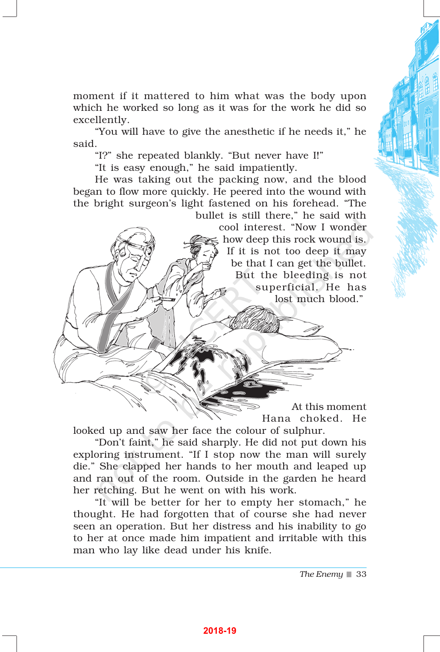moment if it mattered to him what was the body upon which he worked so long as it was for the work he did so excellently.

"You will have to give the anesthetic if he needs it," he said.

"I?" she repeated blankly. "But never have I!"

"It is easy enough," he said impatiently.

He was taking out the packing now, and the blood began to flow more quickly. He peered into the wound with the bright surgeon's light fastened on his forehead. "The

bullet is still there," he said with cool interest. "Now I wonder how deep this rock wound is. If it is not too deep it may be that I can get the bullet. But the bleeding is not superficial. He has lost much blood."

> At this moment Hana choked. He

looked up and saw her face the colour of sulphur.

"Don't faint," he said sharply. He did not put down his exploring instrument. "If I stop now the man will surely die." She clapped her hands to her mouth and leaped up and ran out of the room. Outside in the garden he heard her retching. But he went on with his work.

"It will be better for her to empty her stomach," he thought. He had forgotten that of course she had never seen an operation. But her distress and his inability to go to her at once made him impatient and irritable with this man who lay like dead under his knife.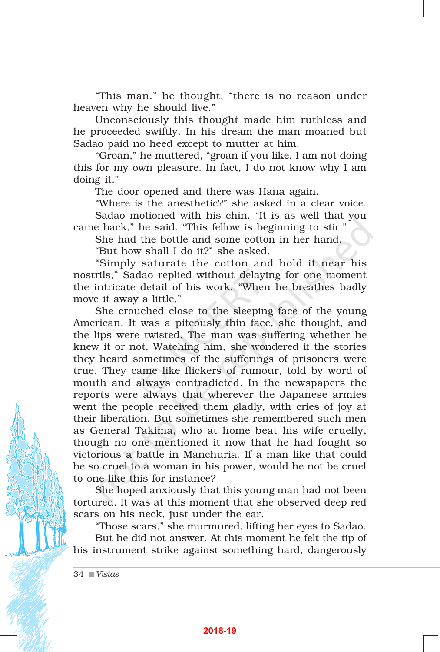"This man." he thought, "there is no reason under heaven why he should live."

Unconsciously this thought made him ruthless and he proceeded swiftly. In his dream the man moaned but Sadao paid no heed except to mutter at him.

"Groan," he muttered, "groan if you like. I am not doing this for my own pleasure. In fact, I do not know why I am doing it."

The door opened and there was Hana again.

"Where is the anesthetic?" she asked in a clear voice. Sadao motioned with his chin. "It is as well that you

came back," he said. "This fellow is beginning to stir."

She had the bottle and some cotton in her hand.

"But how shall I do it?" she asked.

"Simply saturate the cotton and hold it near his nostrils," Sadao replied without delaying for one moment the intricate detail of his work. "When he breathes badly move it away a little."

She crouched close to the sleeping face of the young American. It was a piteously thin face, she thought, and the lips were twisted. The man was suffering whether he knew it or not. Watching him, she wondered if the stories they heard sometimes of the sufferings of prisoners were true. They came like flickers of rumour, told by word of mouth and always contradicted. In the newspapers the reports were always that wherever the Japanese armies went the people received them gladly, with cries of joy at their liberation. But sometimes she remembered such men as General Takima, who at home beat his wife cruelly, though no one mentioned it now that he had fought so victorious a battle in Manchuria. If a man like that could be so cruel to a woman in his power, would he not be cruel to one like this for instance?

She hoped anxiously that this young man had not been tortured. It was at this moment that she observed deep red scars on his neck, just under the ear.

"Those scars," she murmured, lifting her eyes to Sadao. But he did not answer. At this moment he felt the tip of his instrument strike against something hard, dangerously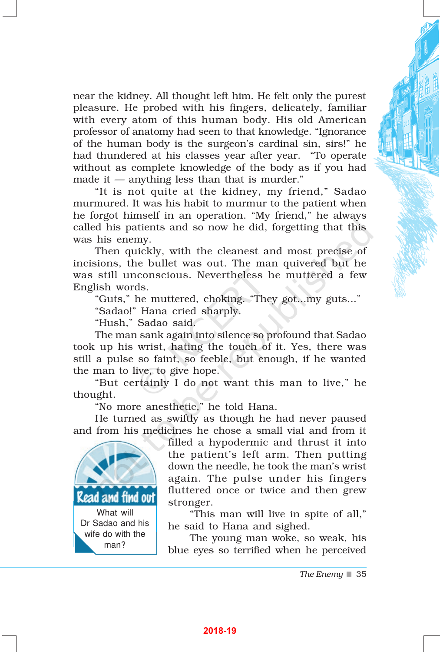near the kidney. All thought left him. He felt only the purest pleasure. He probed with his fingers, delicately, familiar with every atom of this human body. His old American professor of anatomy had seen to that knowledge. "Ignorance of the human body is the surgeon's cardinal sin, sirs!" he had thundered at his classes year after year. "To operate without as complete knowledge of the body as if you had made it  $-$  anything less than that is murder."

"It is not quite at the kidney, my friend," Sadao murmured. It was his habit to murmur to the patient when he forgot himself in an operation. "My friend," he always called his patients and so now he did, forgetting that this was his enemy.

Then quickly, with the cleanest and most precise of incisions, the bullet was out. The man quivered but he was still unconscious. Nevertheless he muttered a few English words.

"Guts," he muttered, choking. "They got...my guts..."

"Sadao!" Hana cried sharply.

"Hush," Sadao said.

The man sank again into silence so profound that Sadao took up his wrist, hating the touch of it. Yes, there was still a pulse so faint, so feeble, but enough, if he wanted the man to live, to give hope.

"But certainly I do not want this man to live," he thought.

"No more anesthetic," he told Hana.

He turned as swiftly as though he had never paused and from his medicines he chose a small vial and from it



filled a hypodermic and thrust it into the patient's left arm. Then putting down the needle, he took the man's wrist again. The pulse under his fingers fluttered once or twice and then grew stronger.

"This man will live in spite of all," he said to Hana and sighed.

The young man woke, so weak, his blue eyes so terrified when he perceived

*The Enemy* 35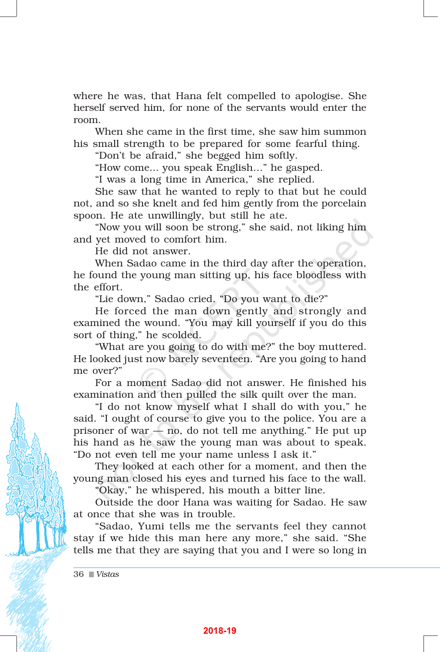where he was, that Hana felt compelled to apologise. She herself served him, for none of the servants would enter the room.

When she came in the first time, she saw him summon his small strength to be prepared for some fearful thing.

"Don't be afraid," she begged him softly.

"How come... you speak English…" he gasped.

"I was a long time in America," she replied.

She saw that he wanted to reply to that but he could not, and so she knelt and fed him gently from the porcelain spoon. He ate unwillingly, but still he ate.

"Now you will soon be strong," she said, not liking him and yet moved to comfort him.

He did not answer.

When Sadao came in the third day after the operation, he found the young man sitting up, his face bloodless with the effort.

"Lie down," Sadao cried. "Do you want to die?"

He forced the man down gently and strongly and examined the wound. "You may kill yourself if you do this sort of thing," he scolded.

"What are you going to do with me?" the boy muttered. He looked just now barely seventeen. "Are you going to hand me over?"

For a moment Sadao did not answer. He finished his examination and then pulled the silk quilt over the man.

"I do not know myself what I shall do with you," he said. "I ought of course to give you to the police. You are a prisoner of war — no, do not tell me anything." He put up his hand as he saw the young man was about to speak. "Do not even tell me your name unless I ask it."

They looked at each other for a moment, and then the young man closed his eyes and turned his face to the wall.

"Okay," he whispered, his mouth a bitter line.

Outside the door Hana was waiting for Sadao. He saw at once that she was in trouble.

"Sadao, Yumi tells me the servants feel they cannot stay if we hide this man here any more," she said. "She tells me that they are saying that you and I were so long in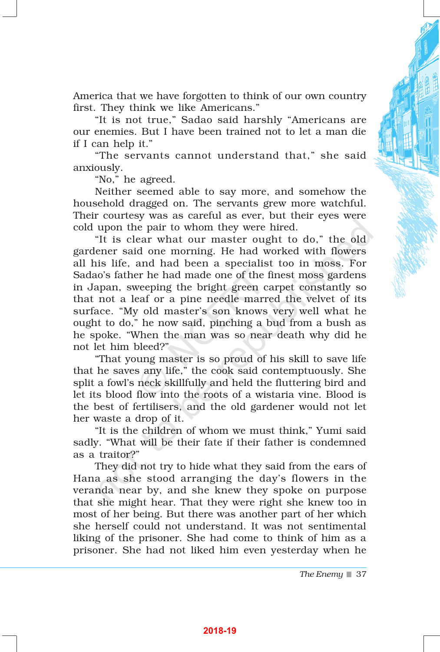America that we have forgotten to think of our own country first. They think we like Americans."

"It is not true," Sadao said harshly "Americans are our enemies. But I have been trained not to let a man die if I can help it."

"The servants cannot understand that," she said anxiously.

"No," he agreed.

Neither seemed able to say more, and somehow the household dragged on. The servants grew more watchful. Their courtesy was as careful as ever, but their eyes were cold upon the pair to whom they were hired.

"It is clear what our master ought to do," the old gardener said one morning. He had worked with flowers all his life, and had been a specialist too in moss. For Sadao's father he had made one of the finest moss gardens in Japan, sweeping the bright green carpet constantly so that not a leaf or a pine needle marred the velvet of its surface. "My old master's son knows very well what he ought to do," he now said, pinching a bud from a bush as he spoke. "When the man was so near death why did he not let him bleed?"

"That young master is so proud of his skill to save life that he saves any life," the cook said contemptuously. She split a fowl's neck skillfully and held the fluttering bird and let its blood flow into the roots of a wistaria vine. Blood is the best of fertilisers, and the old gardener would not let her waste a drop of it.

"It is the children of whom we must think," Yumi said sadly. "What will be their fate if their father is condemned as a traitor?"

They did not try to hide what they said from the ears of Hana as she stood arranging the day's flowers in the veranda near by, and she knew they spoke on purpose that she might hear. That they were right she knew too in most of her being. But there was another part of her which she herself could not understand. It was not sentimental liking of the prisoner. She had come to think of him as a prisoner. She had not liked him even yesterday when he

*The Enemy* ■ 37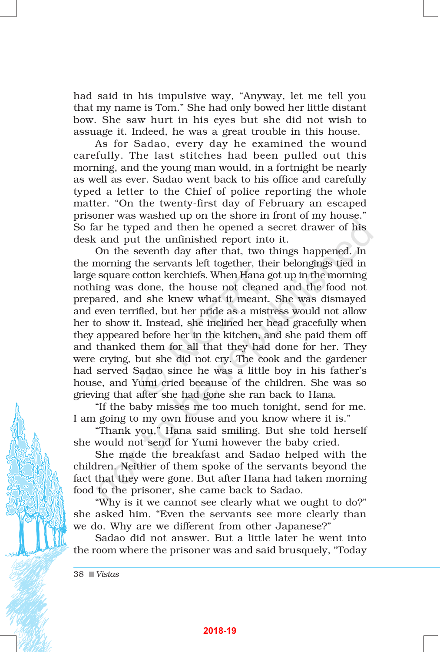had said in his impulsive way, "Anyway, let me tell you that my name is Tom." She had only bowed her little distant bow. She saw hurt in his eyes but she did not wish to assuage it. Indeed, he was a great trouble in this house.

As for Sadao, every day he examined the wound carefully. The last stitches had been pulled out this morning, and the young man would, in a fortnight be nearly as well as ever. Sadao went back to his office and carefully typed a letter to the Chief of police reporting the whole matter. "On the twenty-first day of February an escaped prisoner was washed up on the shore in front of my house." So far he typed and then he opened a secret drawer of his desk and put the unfinished report into it.

On the seventh day after that, two things happened. In the morning the servants left together, their belongings tied in large square cotton kerchiefs. When Hana got up in the morning nothing was done, the house not cleaned and the food not prepared, and she knew what it meant. She was dismayed and even terrified, but her pride as a mistress would not allow her to show it. Instead, she inclined her head gracefully when they appeared before her in the kitchen, and she paid them off and thanked them for all that they had done for her. They were crying, but she did not cry. The cook and the gardener had served Sadao since he was a little boy in his father's house, and Yumi cried because of the children. She was so grieving that after she had gone she ran back to Hana.

"If the baby misses me too much tonight, send for me. I am going to my own house and you know where it is."

"Thank you," Hana said smiling. But she told herself she would not send for Yumi however the baby cried.

She made the breakfast and Sadao helped with the children. Neither of them spoke of the servants beyond the fact that they were gone. But after Hana had taken morning food to the prisoner, she came back to Sadao.

"Why is it we cannot see clearly what we ought to do?" she asked him. "Even the servants see more clearly than we do. Why are we different from other Japanese?"

Sadao did not answer. But a little later he went into the room where the prisoner was and said brusquely, "Today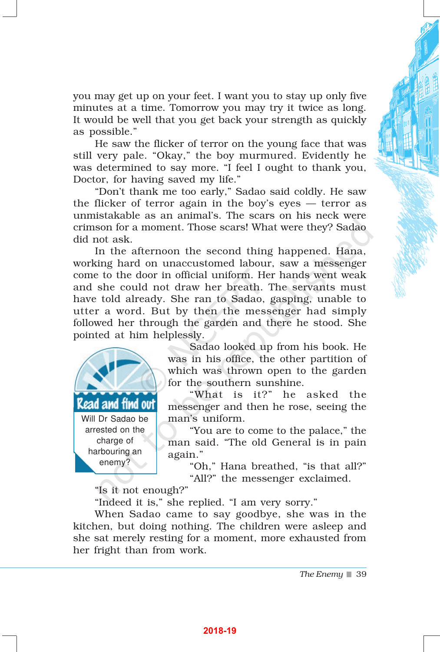you may get up on your feet. I want you to stay up only five minutes at a time. Tomorrow you may try it twice as long. It would be well that you get back your strength as quickly as possible."

He saw the flicker of terror on the young face that was still very pale. "Okay," the boy murmured. Evidently he was determined to say more. "I feel I ought to thank you, Doctor, for having saved my life."

"Don't thank me too early," Sadao said coldly. He saw the flicker of terror again in the boy's eyes — terror as unmistakable as an animal's. The scars on his neck were crimson for a moment. Those scars! What were they? Sadao did not ask.

In the afternoon the second thing happened. Hana, working hard on unaccustomed labour, saw a messenger come to the door in official uniform. Her hands went weak and she could not draw her breath. The servants must have told already. She ran to Sadao, gasping, unable to utter a word. But by then the messenger had simply followed her through the garden and there he stood. She pointed at him helplessly.



Sadao looked up from his book. He was in his office, the other partition of which was thrown open to the garden for the southern sunshine.

"What is it?" he asked the messenger and then he rose, seeing the man's uniform.

"You are to come to the palace," the man said. "The old General is in pain again."

"Oh," Hana breathed, "is that all?" "All?" the messenger exclaimed.

"Is it not enough?"

"Indeed it is," she replied. "I am very sorry."

When Sadao came to say goodbye, she was in the kitchen, but doing nothing. The children were asleep and she sat merely resting for a moment, more exhausted from her fright than from work.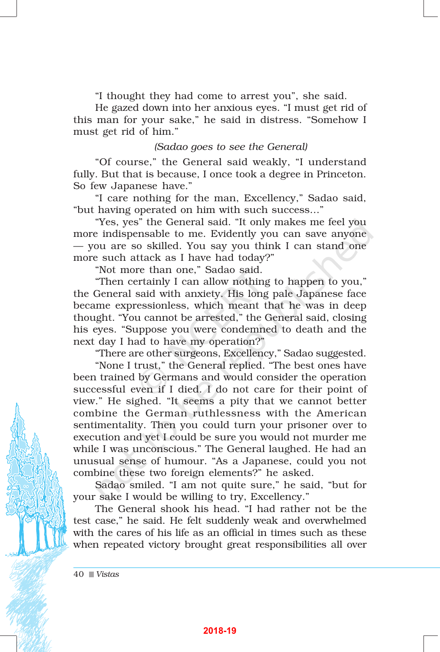"I thought they had come to arrest you", she said.

He gazed down into her anxious eyes. "I must get rid of this man for your sake," he said in distress. "Somehow I must get rid of him."

## *(Sadao goes to see the General)*

"Of course," the General said weakly, "I understand fully. But that is because, I once took a degree in Princeton. So few Japanese have."

"I care nothing for the man, Excellency," Sadao said, "but having operated on him with such success..."

"Yes, yes" the General said. "It only makes me feel you more indispensable to me. Evidently you can save anyone — you are so skilled. You say you think I can stand one more such attack as I have had today?"

"Not more than one," Sadao said.

"Then certainly I can allow nothing to happen to you," the General said with anxiety. His long pale Japanese face became expressionless, which meant that he was in deep thought. "You cannot be arrested," the General said, closing his eyes. "Suppose you were condemned to death and the next day I had to have my operation?"

"There are other surgeons, Excellency," Sadao suggested.

"None I trust," the General replied. "The best ones have been trained by Germans and would consider the operation successful even if I died. I do not care for their point of view." He sighed. "It seems a pity that we cannot better combine the German ruthlessness with the American sentimentality. Then you could turn your prisoner over to execution and yet I could be sure you would not murder me while I was unconscious." The General laughed. He had an unusual sense of humour. "As a Japanese, could you not combine these two foreign elements?" he asked.

Sadao smiled. "I am not quite sure," he said, "but for your sake I would be willing to try, Excellency."

The General shook his head. "I had rather not be the test case," he said. He felt suddenly weak and overwhelmed with the cares of his life as an official in times such as these when repeated victory brought great responsibilities all over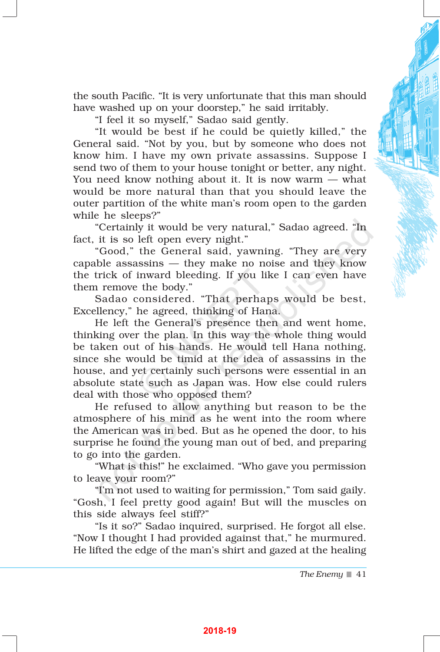the south Pacific. "It is very unfortunate that this man should have washed up on your doorstep," he said irritably.

"I feel it so myself," Sadao said gently.

"It would be best if he could be quietly killed," the General said. "Not by you, but by someone who does not know him. I have my own private assassins. Suppose I send two of them to your house tonight or better, any night. You need know nothing about it. It is now warm  $-$  what would be more natural than that you should leave the outer partition of the white man's room open to the garden while he sleeps?"

"Certainly it would be very natural," Sadao agreed. "In fact, it is so left open every night."

"Good," the General said, yawning. "They are very capable assassins — they make no noise and they know the trick of inward bleeding. If you like I can even have them remove the body."

Sadao considered. "That perhaps would be best, Excellency," he agreed, thinking of Hana.

He left the General's presence then and went home, thinking over the plan. In this way the whole thing would be taken out of his hands. He would tell Hana nothing, since she would be timid at the idea of assassins in the house, and yet certainly such persons were essential in an absolute state such as Japan was. How else could rulers deal with those who opposed them?

He refused to allow anything but reason to be the atmosphere of his mind as he went into the room where the American was in bed. But as he opened the door, to his surprise he found the young man out of bed, and preparing to go into the garden.

"What is this!" he exclaimed. "Who gave you permission to leave your room?"

"I'm not used to waiting for permission," Tom said gaily. "Gosh, I feel pretty good again! But will the muscles on this side always feel stiff?"

"Is it so?" Sadao inquired, surprised. He forgot all else. "Now I thought I had provided against that," he murmured. He lifted the edge of the man's shirt and gazed at the healing

*The Enemy*  $\blacksquare$  41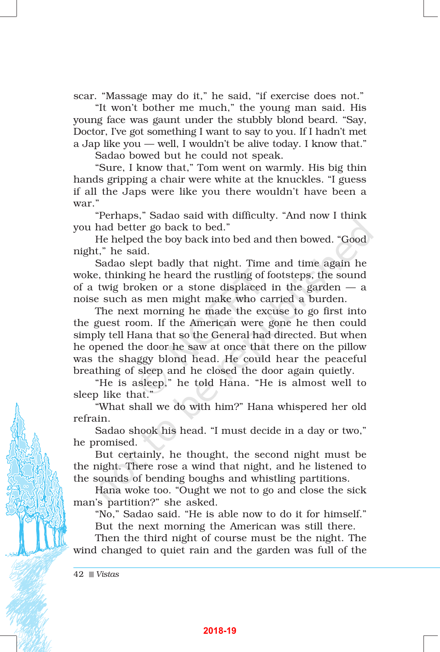scar. "Massage may do it," he said, "if exercise does not."

"It won't bother me much," the young man said. His young face was gaunt under the stubbly blond beard. "Say, Doctor, I've got something I want to say to you. If I hadn't met a Jap like you — well, I wouldn't be alive today. I know that."

Sadao bowed but he could not speak.

"Sure, I know that," Tom went on warmly. His big thin hands gripping a chair were white at the knuckles. "I guess if all the Japs were like you there wouldn't have been a war."

"Perhaps," Sadao said with difficulty. "And now I think you had better go back to bed."

He helped the boy back into bed and then bowed. "Good night," he said.

Sadao slept badly that night. Time and time again he woke, thinking he heard the rustling of footsteps, the sound of a twig broken or a stone displaced in the garden — a noise such as men might make who carried a burden.

The next morning he made the excuse to go first into the guest room. If the American were gone he then could simply tell Hana that so the General had directed. But when he opened the door he saw at once that there on the pillow was the shaggy blond head. He could hear the peaceful breathing of sleep and he closed the door again quietly.

"He is asleep," he told Hana. "He is almost well to sleep like that."

"What shall we do with him?" Hana whispered her old refrain.

Sadao shook his head. "I must decide in a day or two," he promised.

But certainly, he thought, the second night must be the night. There rose a wind that night, and he listened to the sounds of bending boughs and whistling partitions.

Hana woke too. "Ought we not to go and close the sick man's partition?" she asked.

"No," Sadao said. "He is able now to do it for himself." But the next morning the American was still there.

Then the third night of course must be the night. The wind changed to quiet rain and the garden was full of the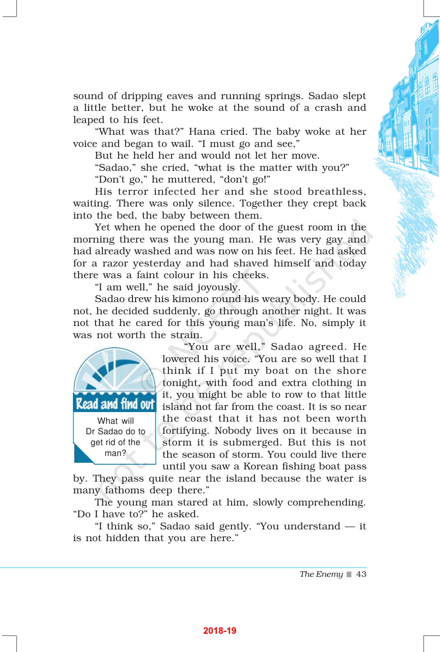sound of dripping eaves and running springs. Sadao slept a little better, but he woke at the sound of a crash and leaped to his feet.

"What was that?" Hana cried. The baby woke at her voice and began to wail. "I must go and see,"

But he held her and would not let her move.

"Sadao," she cried, "what is the matter with you?" "Don't go," he muttered, "don't go!"

His terror infected her and she stood breathless, waiting. There was only silence. Together they crept back into the bed, the baby between them.

Yet when he opened the door of the guest room in the morning there was the young man. He was very gay and had already washed and was now on his feet. He had asked for a razor yesterday and had shaved himself and today there was a faint colour in his cheeks.

"I am well," he said joyously.

Sadao drew his kimono round his weary body. He could not, he decided suddenly, go through another night. It was not that he cared for this young man's life. No, simply it was not worth the strain.



"You are well," Sadao agreed. He lowered his voice. "You are so well that I think if I put my boat on the shore tonight, with food and extra clothing in it, you might be able to row to that little island not far from the coast. It is so near the coast that it has not been worth fortifying. Nobody lives on it because in storm it is submerged. But this is not the season of storm. You could live there until you saw a Korean fishing boat pass

by. They pass quite near the island because the water is many fathoms deep there."

The young man stared at him, slowly comprehending. "Do I have to?" he asked.

"I think so," Sadao said gently. "You understand — it is not hidden that you are here."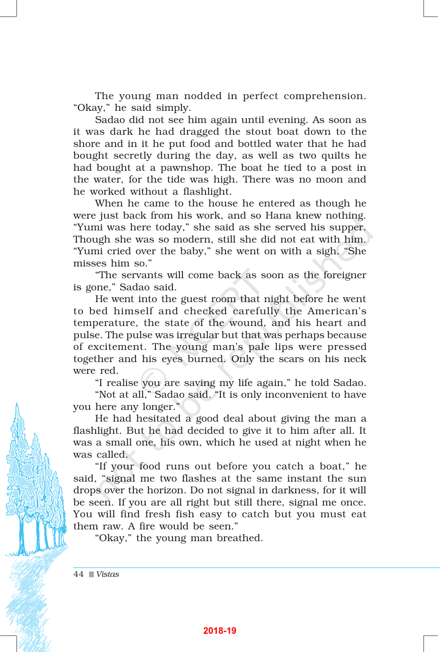The young man nodded in perfect comprehension. "Okay," he said simply.

Sadao did not see him again until evening. As soon as it was dark he had dragged the stout boat down to the shore and in it he put food and bottled water that he had bought secretly during the day, as well as two quilts he had bought at a pawnshop. The boat he tied to a post in the water, for the tide was high. There was no moon and he worked without a flashlight.

When he came to the house he entered as though he were just back from his work, and so Hana knew nothing. "Yumi was here today," she said as she served his supper. Though she was so modern, still she did not eat with him. "Yumi cried over the baby," she went on with a sigh. "She misses him so."

"The servants will come back as soon as the foreigner is gone," Sadao said.

He went into the guest room that night before he went to bed himself and checked carefully the American's temperature, the state of the wound, and his heart and pulse. The pulse was irregular but that was perhaps because of excitement. The young man's pale lips were pressed together and his eyes burned. Only the scars on his neck were red.

"I realise you are saving my life again," he told Sadao.

"Not at all," Sadao said. "It is only inconvenient to have you here any longer."

He had hesitated a good deal about giving the man a flashlight. But he had decided to give it to him after all. It was a small one, his own, which he used at night when he was called.

"If your food runs out before you catch a boat," he said, "signal me two flashes at the same instant the sun drops over the horizon. Do not signal in darkness, for it will be seen. If you are all right but still there, signal me once. You will find fresh fish easy to catch but you must eat them raw. A fire would be seen."

"Okay," the young man breathed.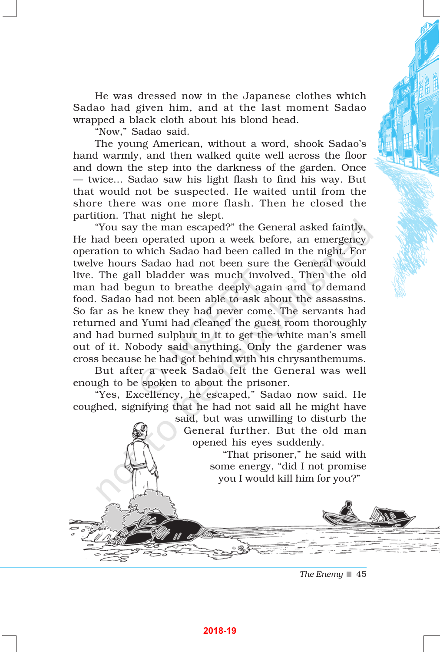He was dressed now in the Japanese clothes which Sadao had given him, and at the last moment Sadao wrapped a black cloth about his blond head.

"Now," Sadao said.

The young American, without a word, shook Sadao's hand warmly, and then walked quite well across the floor and down the step into the darkness of the garden. Once — twice... Sadao saw his light flash to find his way. But that would not be suspected. He waited until from the shore there was one more flash. Then he closed the partition. That night he slept.

"You say the man escaped?" the General asked faintly. He had been operated upon a week before, an emergency operation to which Sadao had been called in the night. For twelve hours Sadao had not been sure the General would live. The gall bladder was much involved. Then the old man had begun to breathe deeply again and to demand food. Sadao had not been able to ask about the assassins. So far as he knew they had never come. The servants had returned and Yumi had cleaned the guest room thoroughly and had burned sulphur in it to get the white man's smell out of it. Nobody said anything. Only the gardener was cross because he had got behind with his chrysanthemums.

But after a week Sadao felt the General was well enough to be spoken to about the prisoner.

"Yes, Excellency, he escaped," Sadao now said. He coughed, signifying that he had not said all he might have

said, but was unwilling to disturb the General further. But the old man opened his eyes suddenly.

"That prisoner," he said with some energy, "did I not promise you I would kill him for you?"

*The Enemy* ■ 45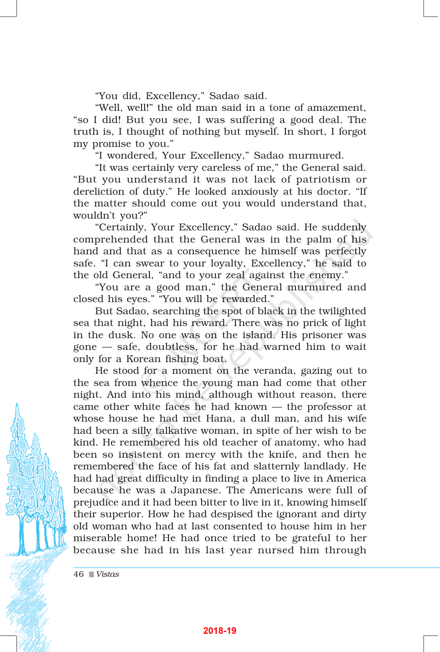"You did, Excellency," Sadao said.

"Well, well!" the old man said in a tone of amazement, "so I did! But you see, I was suffering a good deal. The truth is, I thought of nothing but myself. In short, I forgot my promise to you."

"I wondered, Your Excellency," Sadao murmured.

"It was certainly very careless of me," the General said. "But you understand it was not lack of patriotism or dereliction of duty." He looked anxiously at his doctor. "If the matter should come out you would understand that, wouldn't you?"

"Certainly, Your Excellency," Sadao said. He suddenly comprehended that the General was in the palm of his hand and that as a consequence he himself was perfectly safe. "I can swear to your loyalty, Excellency," he said to the old General, "and to your zeal against the enemy."

"You are a good man," the General murmured and closed his eyes." "You will be rewarded."

But Sadao, searching the spot of black in the twilighted sea that night, had his reward. There was no prick of light in the dusk. No one was on the island. His prisoner was gone — safe, doubtless, for he had warned him to wait only for a Korean fishing boat.

He stood for a moment on the veranda, gazing out to the sea from whence the young man had come that other night. And into his mind, although without reason, there came other white faces he had known — the professor at whose house he had met Hana, a dull man, and his wife had been a silly talkative woman, in spite of her wish to be kind. He remembered his old teacher of anatomy, who had been so insistent on mercy with the knife, and then he remembered the face of his fat and slatternly landlady. He had had great difficulty in finding a place to live in America because he was a Japanese. The Americans were full of prejudice and it had been bitter to live in it, knowing himself their superior. How he had despised the ignorant and dirty old woman who had at last consented to house him in her miserable home! He had once tried to be grateful to her because she had in his last year nursed him through